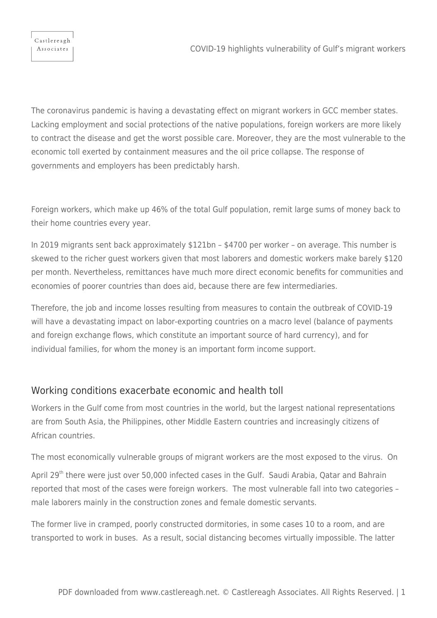Associates

The coronavirus pandemic is having a devastating effect on migrant workers in GCC member states. Lacking employment and social protections of the native populations, foreign workers are more likely to contract the disease and get the worst possible care. Moreover, they are the most vulnerable to the economic toll exerted by containment measures and the oil price collapse. The response of governments and employers has been predictably harsh.

Foreign workers, which make up 46% of the total Gulf population, remit large sums of money back to their home countries every year.

In 2019 migrants sent back approximately \$121bn – \$4700 per worker – on average. This number is skewed to the richer guest workers given that most laborers and domestic workers make barely \$120 per month. Nevertheless, remittances have much more direct economic benefits for communities and economies of poorer countries than does aid, because there are few intermediaries.

Therefore, the job and income losses resulting from measures to contain the outbreak of COVID-19 will have a devastating impact on labor-exporting countries on a macro level (balance of payments and foreign exchange flows, which constitute an important source of hard currency), and for individual families, for whom the money is an important form income support.

## Working conditions exacerbate economic and health toll

Workers in the Gulf come from most countries in the world, but the largest national representations are from South Asia, the Philippines, other Middle Eastern countries and increasingly citizens of African countries.

The most economically vulnerable groups of migrant workers are the most exposed to the virus. On

April 29<sup>th</sup> there were just over 50,000 infected cases in the Gulf. Saudi Arabia, Qatar and Bahrain reported that most of the cases were foreign workers. The most vulnerable fall into two categories – male laborers mainly in the construction zones and female domestic servants.

The former live in cramped, poorly constructed dormitories, in some cases 10 to a room, and are transported to work in buses. As a result, social distancing becomes virtually impossible. The latter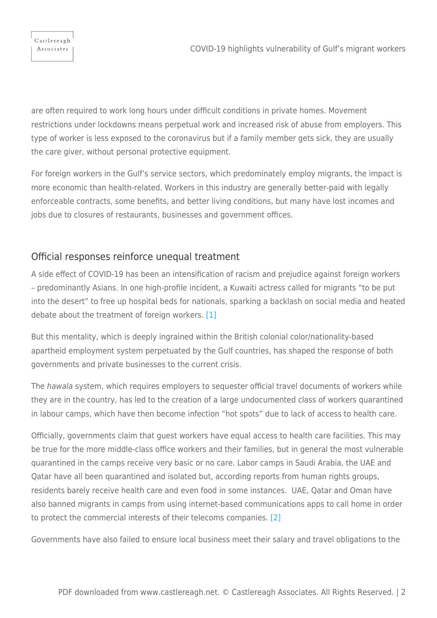Castlereagh Associates

are often required to work long hours under difficult conditions in private homes. Movement restrictions under lockdowns means perpetual work and increased risk of abuse from employers. This type of worker is less exposed to the coronavirus but if a family member gets sick, they are usually the care giver, without personal protective equipment.

For foreign workers in the Gulf's service sectors, which predominately employ migrants, the impact is more economic than health-related. Workers in this industry are generally better-paid with legally enforceable contracts, some benefits, and better living conditions, but many have lost incomes and jobs due to closures of restaurants, businesses and government offices.

## Official responses reinforce unequal treatment

A side effect of COVID-19 has been an intensification of racism and prejudice against foreign workers – predominantly Asians. In one high-profile incident, a Kuwaiti actress called for migrants "to be put into the desert" to free up hospital beds for nationals, sparking a backlash on social media and heated debate about the treatment of foreign workers. [\[1\]](#page-3-0)

<span id="page-1-0"></span>But this mentality, which is deeply ingrained within the British colonial color/nationality-based apartheid employment system perpetuated by the Gulf countries, has shaped the response of both governments and private businesses to the current crisis.

The hawala system, which requires employers to sequester official travel documents of workers while they are in the country, has led to the creation of a large undocumented class of workers quarantined in labour camps, which have then become infection "hot spots" due to lack of access to health care.

Officially, governments claim that guest workers have equal access to health care facilities. This may be true for the more middle-class office workers and their families, but in general the most vulnerable quarantined in the camps receive very basic or no care. Labor camps in Saudi Arabia, the UAE and Qatar have all been quarantined and isolated but, according reports from human rights groups, residents barely receive health care and even food in some instances. UAE, Qatar and Oman have also banned migrants in camps from using internet-based communications apps to call home in order to protect the commercial interests of their telecoms companies. [\[2\]](#page-3-1)

<span id="page-1-1"></span>Governments have also failed to ensure local business meet their salary and travel obligations to the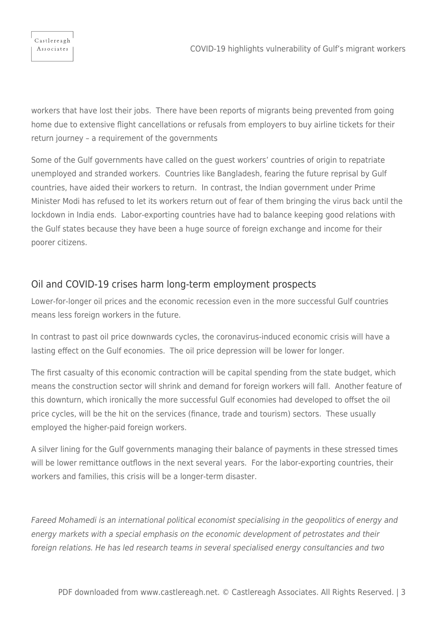workers that have lost their jobs. There have been reports of migrants being prevented from going home due to extensive flight cancellations or refusals from employers to buy airline tickets for their return journey – a requirement of the governments

Some of the Gulf governments have called on the guest workers' countries of origin to repatriate unemployed and stranded workers. Countries like Bangladesh, fearing the future reprisal by Gulf countries, have aided their workers to return. In contrast, the Indian government under Prime Minister Modi has refused to let its workers return out of fear of them bringing the virus back until the lockdown in India ends. Labor-exporting countries have had to balance keeping good relations with the Gulf states because they have been a huge source of foreign exchange and income for their poorer citizens.

## Oil and COVID-19 crises harm long-term employment prospects

Lower-for-longer oil prices and the economic recession even in the more successful Gulf countries means less foreign workers in the future.

In contrast to past oil price downwards cycles, the coronavirus-induced economic crisis will have a lasting effect on the Gulf economies. The oil price depression will be lower for longer.

The first casualty of this economic contraction will be capital spending from the state budget, which means the construction sector will shrink and demand for foreign workers will fall. Another feature of this downturn, which ironically the more successful Gulf economies had developed to offset the oil price cycles, will be the hit on the services (finance, trade and tourism) sectors. These usually employed the higher-paid foreign workers.

A silver lining for the Gulf governments managing their balance of payments in these stressed times will be lower remittance outflows in the next several years. For the labor-exporting countries, their workers and families, this crisis will be a longer-term disaster.

Fareed Mohamedi is an international political economist specialising in the geopolitics of energy and energy markets with a special emphasis on the economic development of petrostates and their foreign relations. He has led research teams in several specialised energy consultancies and two